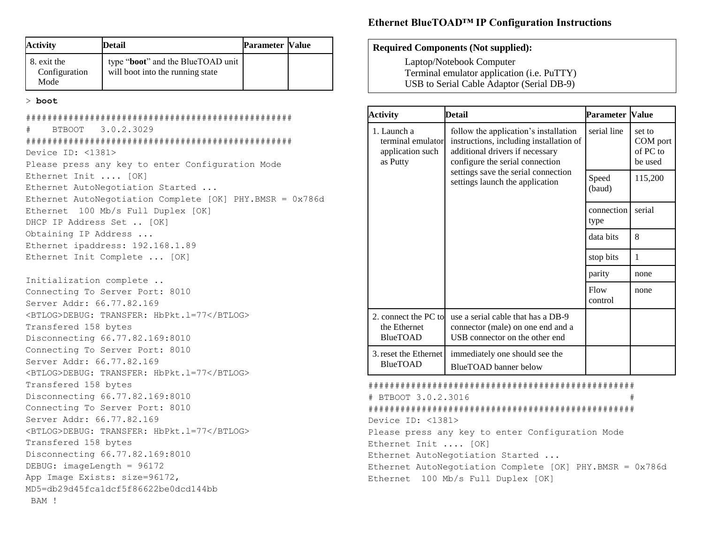| <b>Activity</b>                      | <b>Detail</b>                                                                  | <b>Parameter Value</b> |  |
|--------------------------------------|--------------------------------------------------------------------------------|------------------------|--|
| 8. exit the<br>Configuration<br>Mode | type " <b>boot</b> " and the BlueTOAD unit<br>will boot into the running state |                        |  |

#### > **boot**

| BTBOOT 3.0.2.3029<br>#                                   |
|----------------------------------------------------------|
|                                                          |
| Device ID: <1381>                                        |
| Please press any key to enter Configuration Mode         |
| Ethernet Init  [OK]                                      |
| Ethernet AutoNegotiation Started                         |
| Ethernet AutoNegotiation Complete [OK] PHY.BMSR = 0x786d |
| Ethernet 100 Mb/s Full Duplex [OK]                       |
| DHCP IP Address Set  [OK]                                |
| Obtaining IP Address                                     |
| Ethernet ipaddress: 192.168.1.89                         |
| Ethernet Init Complete  [OK]                             |
|                                                          |
| Initialization complete                                  |
| Connecting To Server Port: 8010                          |
| Server Addr: 66.77.82.169                                |
| <btlog>DEBUG: TRANSFER: HbPkt.1=77</btlog>               |
| Transfered 158 bytes                                     |
| Disconnecting 66.77.82.169:8010                          |
| Connecting To Server Port: 8010                          |
| Server Addr: 66.77.82.169                                |
| <btlog>DEBUG: TRANSFER: HbPkt.1=77</btlog>               |
| Transfered 158 bytes                                     |
| Disconnecting 66.77.82.169:8010                          |
| Connecting To Server Port: 8010                          |
| Server Addr: 66.77.82.169                                |
| <btlog>DEBUG: TRANSFER: HbPkt.1=77</btlog>               |
| Transfered 158 bytes                                     |
| Disconnecting 66.77.82.169:8010                          |
| DEBUG: imageLength = 96172                               |
| App Image Exists: size=96172,                            |
| MD5=db29d45fcaldcf5f86622be0dcd144bb                     |
| BAM !                                                    |

# **Ethernet BlueTOAD™ IP Configuration Instructions**

### **Required Components (Not supplied):**

Laptop/Notebook Computer Terminal emulator application (i.e. PuTTY) USB to Serial Cable Adaptor (Serial DB-9)

| <b>Activity</b>                                                  | <b>Detail</b>                                                                                                                                                                                                                    | <b>Parameter Value</b> |                                           |
|------------------------------------------------------------------|----------------------------------------------------------------------------------------------------------------------------------------------------------------------------------------------------------------------------------|------------------------|-------------------------------------------|
| 1. Launch a<br>terminal emulator<br>application such<br>as Putty | follow the application's installation<br>instructions, including installation of<br>additional drivers if necessary<br>configure the serial connection<br>settings save the serial connection<br>settings launch the application | serial line            | set to<br>COM port<br>of PC to<br>be used |
|                                                                  |                                                                                                                                                                                                                                  | Speed<br>(baud)        | 115,200                                   |
|                                                                  |                                                                                                                                                                                                                                  | connection<br>type     | serial                                    |
|                                                                  |                                                                                                                                                                                                                                  | data bits              | 8                                         |
|                                                                  |                                                                                                                                                                                                                                  | stop bits              | 1                                         |
|                                                                  |                                                                                                                                                                                                                                  | parity                 | none                                      |
|                                                                  |                                                                                                                                                                                                                                  | Flow<br>control        | none                                      |
| 2. connect the PC to<br>the Ethernet<br><b>BlueTOAD</b>          | use a serial cable that has a DB-9<br>connector (male) on one end and a<br>USB connector on the other end                                                                                                                        |                        |                                           |
| 3. reset the Ethernet<br><b>BlueTOAD</b>                         | immediately one should see the<br><b>BlueTOAD</b> banner below                                                                                                                                                                   |                        |                                           |
|                                                                  |                                                                                                                                                                                                                                  |                        |                                           |

# # BTBOOT 3.0.2.3016 # ################################################## Device ID: <1381> Please press any key to enter Configuration Mode Ethernet Init .... [OK]

Ethernet AutoNegotiation Started ... Ethernet AutoNegotiation Complete [OK] PHY.BMSR = 0x786d Ethernet 100 Mb/s Full Duplex [OK]